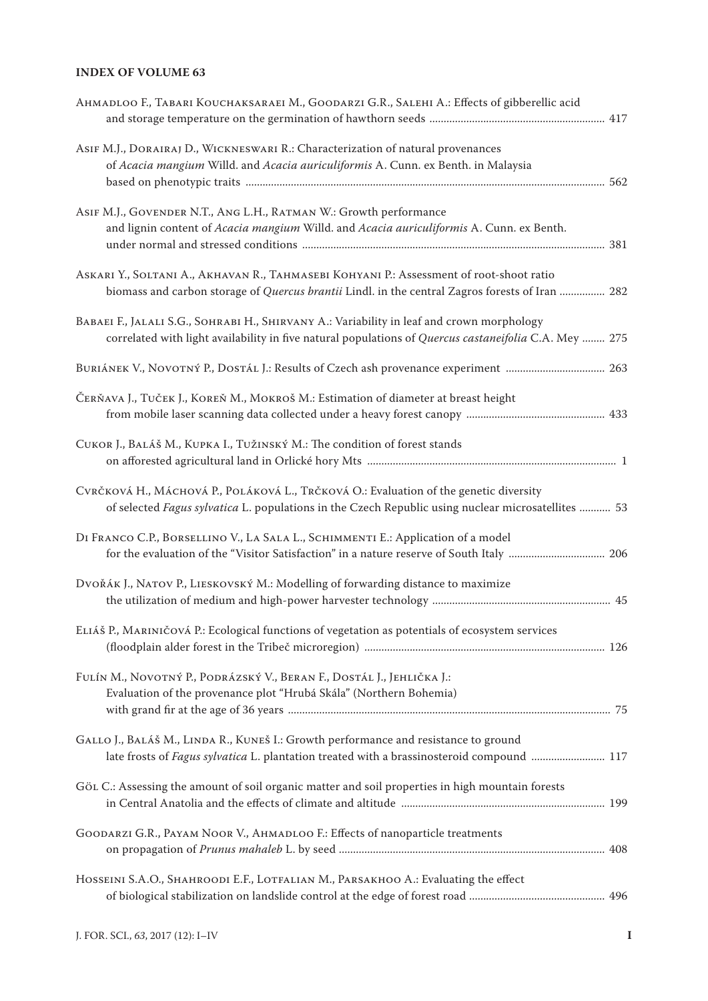## **INDEX OF VOLUME 63**

| AHMADLOO F., TABARI KOUCHAKSARAEI M., GOODARZI G.R., SALEHI A.: Effects of gibberellic acid                                                                                                        |  |
|----------------------------------------------------------------------------------------------------------------------------------------------------------------------------------------------------|--|
| ASIF M.J., DORAIRAJ D., WICKNESWARI R.: Characterization of natural provenances<br>of Acacia mangium Willd. and Acacia auriculiformis A. Cunn. ex Benth. in Malaysia                               |  |
| ASIF M.J., GOVENDER N.T., ANG L.H., RATMAN W.: Growth performance<br>and lignin content of Acacia mangium Willd. and Acacia auriculiformis A. Cunn. ex Benth.                                      |  |
| ASKARI Y., SOLTANI A., AKHAVAN R., TAHMASEBI KOHYANI P.: Assessment of root-shoot ratio<br>biomass and carbon storage of Quercus brantii Lindl. in the central Zagros forests of Iran  282         |  |
| BABAEI F., JALALI S.G., SOHRABI H., SHIRVANY A.: Variability in leaf and crown morphology<br>correlated with light availability in five natural populations of Quercus castaneifolia C.A. Mey  275 |  |
| BURIÁNEK V., NOVOTNÝ P., DOSTÁL J.: Results of Czech ash provenance experiment  263                                                                                                                |  |
| ČERŇAVA J., TUČEK J., KOREŇ M., MOKROŠ M.: Estimation of diameter at breast height                                                                                                                 |  |
| CUKOR J., BALÁŠ M., KUPKA I., TUŽINSKÝ M.: The condition of forest stands                                                                                                                          |  |
| CVRČKOVÁ H., MÁCHOVÁ P., POLÁKOVÁ L., TRČKOVÁ O.: Evaluation of the genetic diversity<br>of selected Fagus sylvatica L. populations in the Czech Republic using nuclear microsatellites  53        |  |
| DI FRANCO C.P., BORSELLINO V., LA SALA L., SCHIMMENTI E.: Application of a model                                                                                                                   |  |
| DVOŘÁK J., NATOV P., LIESKOVSKÝ M.: Modelling of forwarding distance to maximize                                                                                                                   |  |
| ELIÁŠ P., MARINIČOVÁ P.: Ecological functions of vegetation as potentials of ecosystem services                                                                                                    |  |
| FULÍN M., NOVOTNÝ P., PODRÁZSKÝ V., BERAN F., DOSTÁL J., JEHLIČKA J.:<br>Evaluation of the provenance plot "Hrubá Skála" (Northern Bohemia)                                                        |  |
| GALLO J., BALÁŠ M., LINDA R., KUNEŠ I.: Growth performance and resistance to ground<br>late frosts of Fagus sylvatica L. plantation treated with a brassinosteroid compound  117                   |  |
| GÖL C.: Assessing the amount of soil organic matter and soil properties in high mountain forests                                                                                                   |  |
| GOODARZI G.R., PAYAM NOOR V., AHMADLOO F.: Effects of nanoparticle treatments                                                                                                                      |  |
| HOSSEINI S.A.O., SHAHROODI E.F., LOTFALIAN M., PARSAKHOO A.: Evaluating the effect                                                                                                                 |  |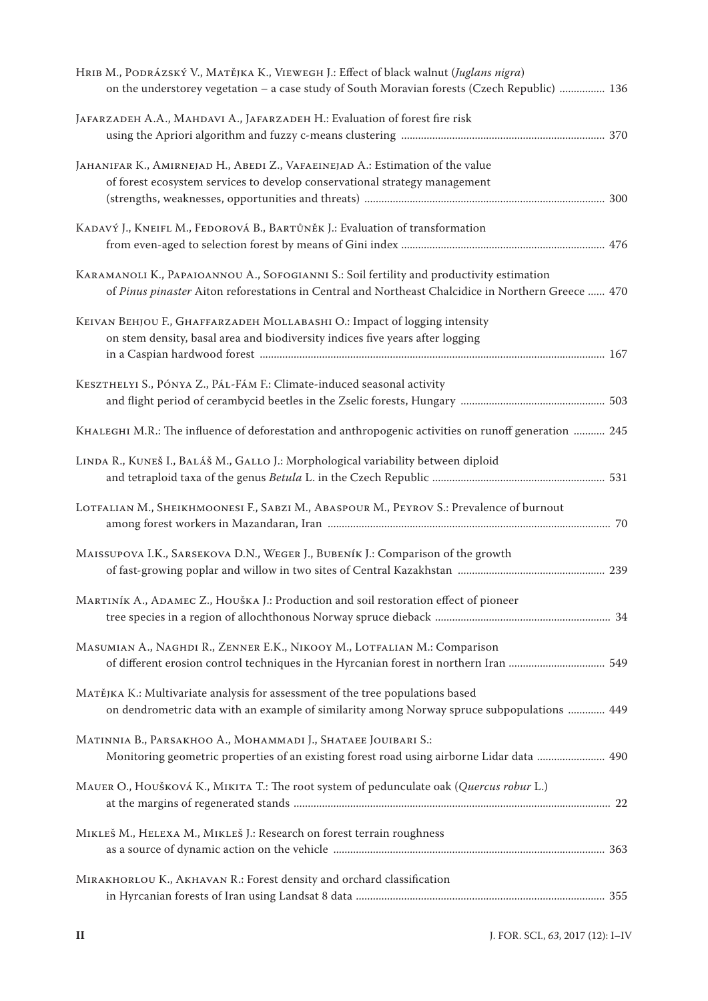| HRIB M., PODRÁZSKÝ V., MATĚJKA K., VIEWEGH J.: Effect of black walnut (Juglans nigra)<br>on the understorey vegetation - a case study of South Moravian forests (Czech Republic)  136          |  |
|------------------------------------------------------------------------------------------------------------------------------------------------------------------------------------------------|--|
| JAFARZADEH A.A., MAHDAVI A., JAFARZADEH H.: Evaluation of forest fire risk                                                                                                                     |  |
| JAHANIFAR K., AMIRNEJAD H., ABEDI Z., VAFAEINEJAD A.: Estimation of the value<br>of forest ecosystem services to develop conservational strategy management                                    |  |
| KADAVÝ J., KNEIFL M., FEDOROVÁ B., BARTŮNĚK J.: Evaluation of transformation                                                                                                                   |  |
| KARAMANOLI K., PAPAIOANNOU A., SOFOGIANNI S.: Soil fertility and productivity estimation<br>of Pinus pinaster Aiton reforestations in Central and Northeast Chalcidice in Northern Greece  470 |  |
| KEIVAN BEHJOU F., GHAFFARZADEH MOLLABASHI O.: Impact of logging intensity<br>on stem density, basal area and biodiversity indices five years after logging                                     |  |
| KESZTHELYI S., PÓNYA Z., PÁL-FÁM F.: Climate-induced seasonal activity                                                                                                                         |  |
| KHALEGHI M.R.: The influence of deforestation and anthropogenic activities on runoff generation  245                                                                                           |  |
| LINDA R., KUNEŠ I., BALÁŠ M., GALLO J.: Morphological variability between diploid                                                                                                              |  |
| LOTFALIAN M., SHEIKHMOONESI F., SABZI M., ABASPOUR M., PEYROV S.: Prevalence of burnout                                                                                                        |  |
| MAISSUPOVA I.K., SARSEKOVA D.N., WEGER J., BUBENÍK J.: Comparison of the growth                                                                                                                |  |
| MARTINÍK A., ADAMEC Z., HOUŠKA J.: Production and soil restoration effect of pioneer                                                                                                           |  |
| MASUMIAN A., NAGHDI R., ZENNER E.K., NIKOOY M., LOTFALIAN M.: Comparison                                                                                                                       |  |
| МАТĚЈКА К.: Multivariate analysis for assessment of the tree populations based<br>on dendrometric data with an example of similarity among Norway spruce subpopulations  449                   |  |
| MATINNIA B., PARSAKHOO A., MOHAMMADI J., SHATAEE JOUIBARI S.:<br>Monitoring geometric properties of an existing forest road using airborne Lidar data  490                                     |  |
| MAUER O., HOUŠKOVÁ K., MIKITA T.: The root system of pedunculate oak (Quercus robur L.)                                                                                                        |  |
| MIKLEŠ M., HELEXA M., MIKLEŠ J.: Research on forest terrain roughness                                                                                                                          |  |
| MIRAKHORLOU K., AKHAVAN R.: Forest density and orchard classification                                                                                                                          |  |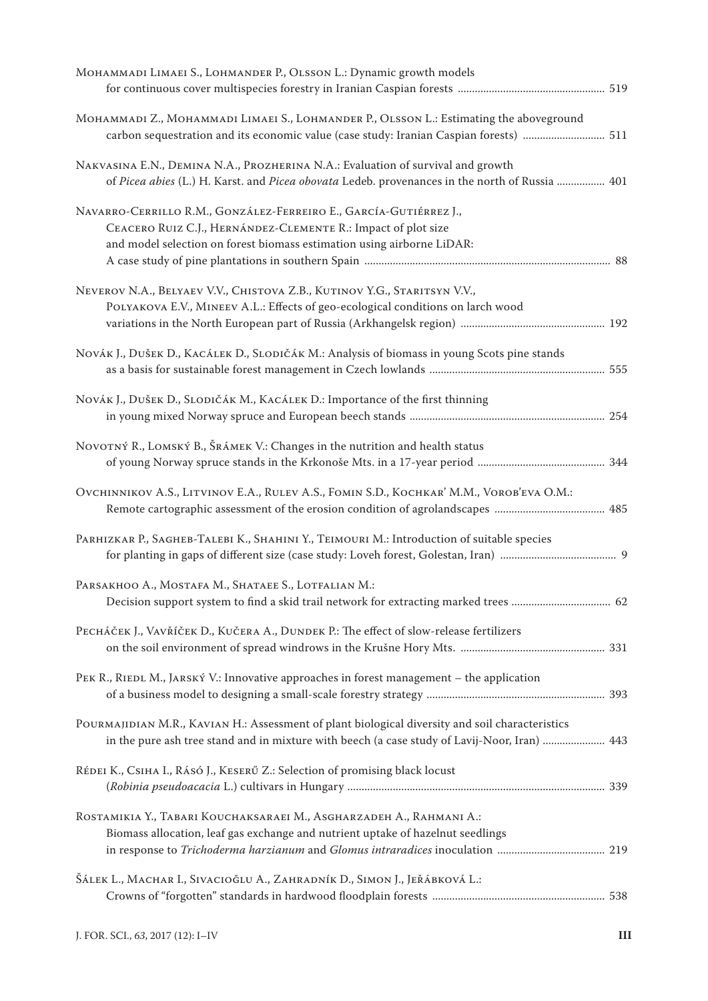| Монаммарі LIMAEI S., LOHMANDER P., OLSSON L.: Dynamic growth models                                                                                                                                          |  |
|--------------------------------------------------------------------------------------------------------------------------------------------------------------------------------------------------------------|--|
| Монаммарі Z., Монаммарі LIMAEI S., LOHMANDER P., OLSSON L.: Estimating the aboveground<br>carbon sequestration and its economic value (case study: Iranian Caspian forests)  511                             |  |
| NAKVASINA E.N., DEMINA N.A., PROZHERINA N.A.: Evaluation of survival and growth<br>of Picea abies (L.) H. Karst. and Picea obovata Ledeb. provenances in the north of Russia  401                            |  |
| NAVARRO-CERRILLO R.M., GONZÁLEZ-FERREIRO E., GARCÍA-GUTIÉRREZ J.,<br>CEACERO RUIZ C.J., HERNÁNDEZ-CLEMENTE R.: Impact of plot size<br>and model selection on forest biomass estimation using airborne LiDAR: |  |
| NEVEROV N.A., BELYAEV V.V., CHISTOVA Z.B., KUTINOV Y.G., STARITSYN V.V.,<br>POLYAKOVA E.V., MINEEV A.L.: Effects of geo-ecological conditions on larch wood                                                  |  |
| NOVÁK J., DUŠEK D., KACÁLEK D., SLODIČÁK M.: Analysis of biomass in young Scots pine stands                                                                                                                  |  |
| NOVÁK J., DUŠEK D., SLODIČÁK M., KACÁLEK D.: Importance of the first thinning                                                                                                                                |  |
| NOVOTNÝ R., LOMSKÝ B., ŠRÁMEK V.: Changes in the nutrition and health status                                                                                                                                 |  |
| OVCHINNIKOV A.S., LITVINOV E.A., RULEV A.S., FOMIN S.D., KOCHKAR' M.M., VOROB'EVA O.M.:                                                                                                                      |  |
| PARHIZKAR P., SAGHEB-TALEBI K., SHAHINI Y., TEIMOURI M.: Introduction of suitable species                                                                                                                    |  |
| PARSAKHOO A., MOSTAFA M., SHATAEE S., LOTFALIAN M.:                                                                                                                                                          |  |
| PECHÁČEK J., VAVŘÍČEK D., KUČERA A., DUNDEK P.: The effect of slow-release fertilizers                                                                                                                       |  |
| PEK R., RIEDL M., JARSKÝ V.: Innovative approaches in forest management - the application                                                                                                                    |  |
| POURMAJIDIAN M.R., KAVIAN H.: Assessment of plant biological diversity and soil characteristics<br>in the pure ash tree stand and in mixture with beech (a case study of Lavij-Noor, Iran)  443              |  |
| RÉDEI K., CSIHA I., RÁSÓ J., KESERŰ Z.: Selection of promising black locust                                                                                                                                  |  |
| ROSTAMIKIA Y., TABARI KOUCHAKSARAEI M., ASGHARZADEH A., RAHMANI A.:<br>Biomass allocation, leaf gas exchange and nutrient uptake of hazelnut seedlings                                                       |  |
| Šálek L., Machar I., Sivacioğlu A., Zahradník D., Simon J., Jeřábková L.:                                                                                                                                    |  |